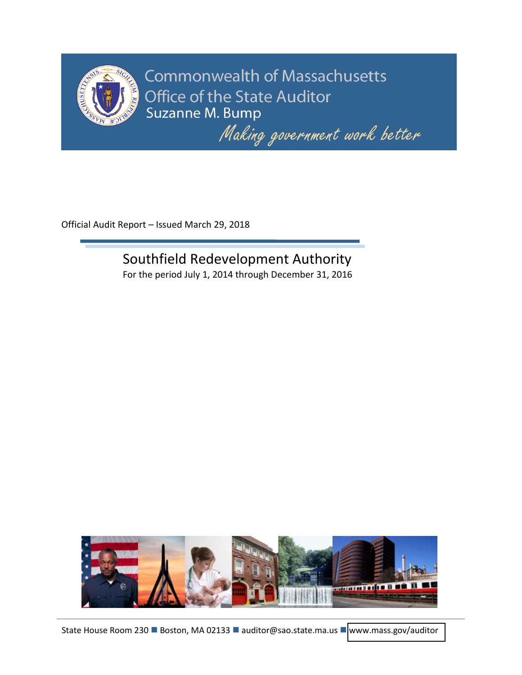

**Commonwealth of Massachusetts** Office of the State Auditor Suzanne M. Bump

Making government work better

Official Audit Report – Issued March 29, 2018

# Southfield Redevelopment Authority

For the period July 1, 2014 through December 31, 2016

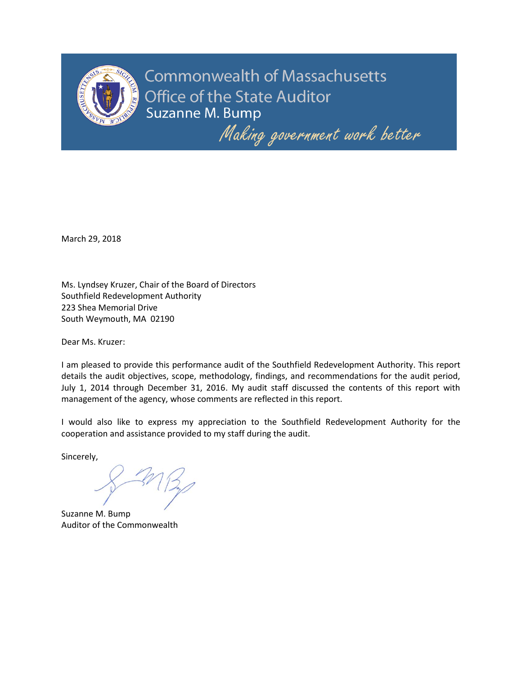

**Commonwealth of Massachusetts Office of the State Auditor** Suzanne M. Bump

Making government work better

March 29, 2018

Ms. Lyndsey Kruzer, Chair of the Board of Directors Southfield Redevelopment Authority 223 Shea Memorial Drive South Weymouth, MA 02190

Dear Ms. Kruzer:

I am pleased to provide this performance audit of the Southfield Redevelopment Authority. This report details the audit objectives, scope, methodology, findings, and recommendations for the audit period, July 1, 2014 through December 31, 2016. My audit staff discussed the contents of this report with management of the agency, whose comments are reflected in this report.

I would also like to express my appreciation to the Southfield Redevelopment Authority for the cooperation and assistance provided to my staff during the audit.

Sincerely,

Suzanne M. Bump Auditor of the Commonwealth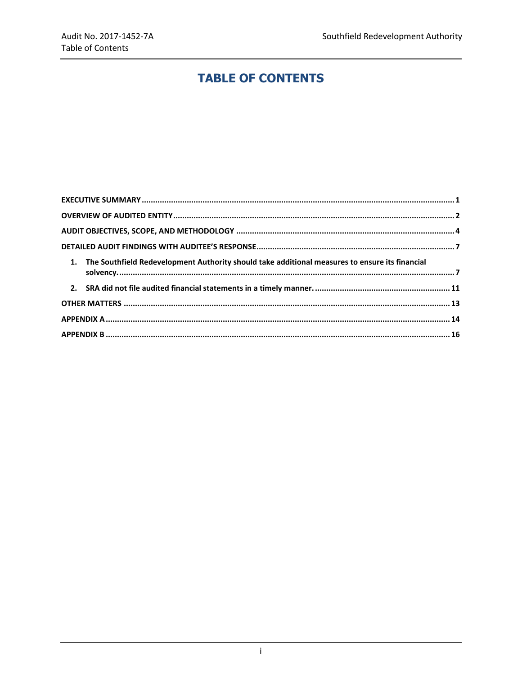# **TABLE OF CONTENTS**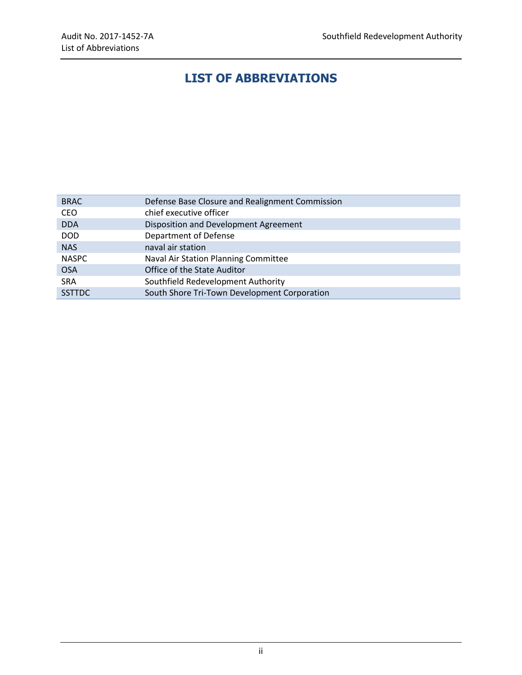# **LIST OF ABBREVIATIONS**

| <b>BRAC</b>   | Defense Base Closure and Realignment Commission |  |  |  |
|---------------|-------------------------------------------------|--|--|--|
| CEO           | chief executive officer                         |  |  |  |
| <b>DDA</b>    | Disposition and Development Agreement           |  |  |  |
| <b>DOD</b>    | Department of Defense                           |  |  |  |
| <b>NAS</b>    | naval air station                               |  |  |  |
| <b>NASPC</b>  | Naval Air Station Planning Committee            |  |  |  |
| <b>OSA</b>    | Office of the State Auditor                     |  |  |  |
| <b>SRA</b>    | Southfield Redevelopment Authority              |  |  |  |
| <b>SSTTDC</b> | South Shore Tri-Town Development Corporation    |  |  |  |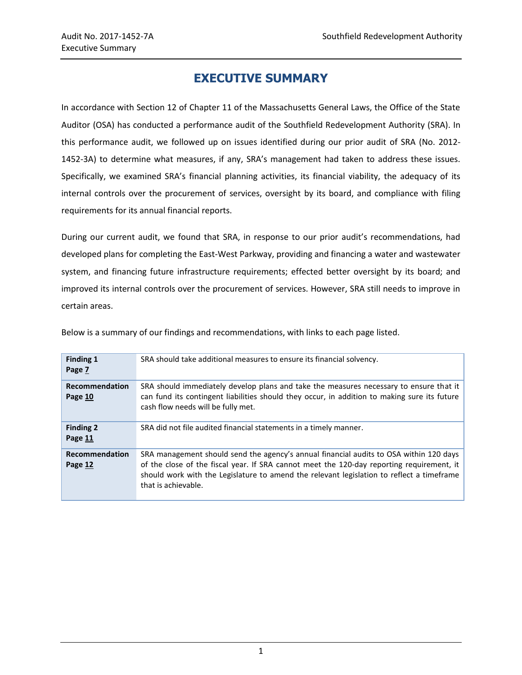# **EXECUTIVE SUMMARY**

<span id="page-4-0"></span>In accordance with Section 12 of Chapter 11 of the Massachusetts General Laws, the Office of the State Auditor (OSA) has conducted a performance audit of the Southfield Redevelopment Authority (SRA). In this performance audit, we followed up on issues identified during our prior audit of SRA (No. 2012- 1452-3A) to determine what measures, if any, SRA's management had taken to address these issues. Specifically, we examined SRA's financial planning activities, its financial viability, the adequacy of its internal controls over the procurement of services, oversight by its board, and compliance with filing requirements for its annual financial reports.

During our current audit, we found that SRA, in response to our prior audit's recommendations, had developed plans for completing the East-West Parkway, providing and financing a water and wastewater system, and financing future infrastructure requirements; effected better oversight by its board; and improved its internal controls over the procurement of services. However, SRA still needs to improve in certain areas.

| <b>Finding 1</b><br>Page 7  | SRA should take additional measures to ensure its financial solvency.                                                                                                                                                                                                                                   |  |  |
|-----------------------------|---------------------------------------------------------------------------------------------------------------------------------------------------------------------------------------------------------------------------------------------------------------------------------------------------------|--|--|
| Recommendation<br>Page 10   | SRA should immediately develop plans and take the measures necessary to ensure that it<br>can fund its contingent liabilities should they occur, in addition to making sure its future<br>cash flow needs will be fully met.                                                                            |  |  |
| <b>Finding 2</b><br>Page 11 | SRA did not file audited financial statements in a timely manner.                                                                                                                                                                                                                                       |  |  |
| Recommendation<br>Page 12   | SRA management should send the agency's annual financial audits to OSA within 120 days<br>of the close of the fiscal year. If SRA cannot meet the 120-day reporting requirement, it<br>should work with the Legislature to amend the relevant legislation to reflect a timeframe<br>that is achievable. |  |  |

Below is a summary of our findings and recommendations, with links to each page listed.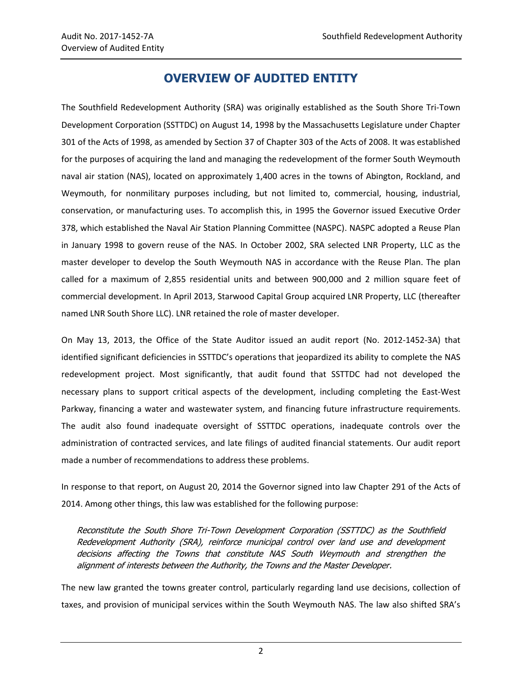## **OVERVIEW OF AUDITED ENTITY**

<span id="page-5-0"></span>The Southfield Redevelopment Authority (SRA) was originally established as the South Shore Tri-Town Development Corporation (SSTTDC) on August 14, 1998 by the Massachusetts Legislature under Chapter 301 of the Acts of 1998, as amended by Section 37 of Chapter 303 of the Acts of 2008. It was established for the purposes of acquiring the land and managing the redevelopment of the former South Weymouth naval air station (NAS), located on approximately 1,400 acres in the towns of Abington, Rockland, and Weymouth, for nonmilitary purposes including, but not limited to, commercial, housing, industrial, conservation, or manufacturing uses. To accomplish this, in 1995 the Governor issued Executive Order 378, which established the Naval Air Station Planning Committee (NASPC). NASPC adopted a Reuse Plan in January 1998 to govern reuse of the NAS. In October 2002, SRA selected LNR Property, LLC as the master developer to develop the South Weymouth NAS in accordance with the Reuse Plan. The plan called for a maximum of 2,855 residential units and between 900,000 and 2 million square feet of commercial development. In April 2013, Starwood Capital Group acquired LNR Property, LLC (thereafter named LNR South Shore LLC). LNR retained the role of master developer.

On May 13, 2013, the Office of the State Auditor issued an audit report (No. 2012-1452-3A) that identified significant deficiencies in SSTTDC's operations that jeopardized its ability to complete the NAS redevelopment project. Most significantly, that audit found that SSTTDC had not developed the necessary plans to support critical aspects of the development, including completing the East-West Parkway, financing a water and wastewater system, and financing future infrastructure requirements. The audit also found inadequate oversight of SSTTDC operations, inadequate controls over the administration of contracted services, and late filings of audited financial statements. Our audit report made a number of recommendations to address these problems.

In response to that report, on August 20, 2014 the Governor signed into law Chapter 291 of the Acts of 2014. Among other things, this law was established for the following purpose:

Reconstitute the South Shore Tri-Town Development Corporation (SSTTDC) as the Southfield Redevelopment Authority (SRA), reinforce municipal control over land use and development decisions affecting the Towns that constitute NAS South Weymouth and strengthen the alignment of interests between the Authority, the Towns and the Master Developer.

The new law granted the towns greater control, particularly regarding land use decisions, collection of taxes, and provision of municipal services within the South Weymouth NAS. The law also shifted SRA's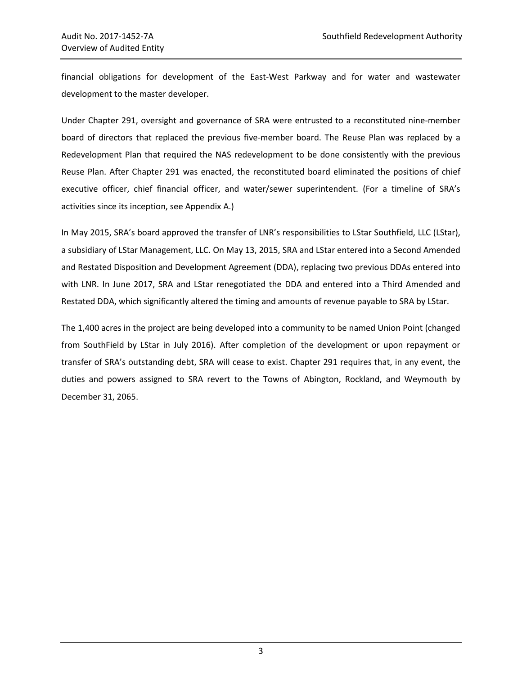financial obligations for development of the East-West Parkway and for water and wastewater development to the master developer.

Under Chapter 291, oversight and governance of SRA were entrusted to a reconstituted nine-member board of directors that replaced the previous five-member board. The Reuse Plan was replaced by a Redevelopment Plan that required the NAS redevelopment to be done consistently with the previous Reuse Plan. After Chapter 291 was enacted, the reconstituted board eliminated the positions of chief executive officer, chief financial officer, and water/sewer superintendent. (For a timeline of SRA's activities since its inception, see Appendix A.)

In May 2015, SRA's board approved the transfer of LNR's responsibilities to LStar Southfield, LLC (LStar), a subsidiary of LStar Management, LLC. On May 13, 2015, SRA and LStar entered into a Second Amended and Restated Disposition and Development Agreement (DDA), replacing two previous DDAs entered into with LNR. In June 2017, SRA and LStar renegotiated the DDA and entered into a Third Amended and Restated DDA, which significantly altered the timing and amounts of revenue payable to SRA by LStar.

The 1,400 acres in the project are being developed into a community to be named Union Point (changed from SouthField by LStar in July 2016). After completion of the development or upon repayment or transfer of SRA's outstanding debt, SRA will cease to exist. Chapter 291 requires that, in any event, the duties and powers assigned to SRA revert to the Towns of Abington, Rockland, and Weymouth by December 31, 2065.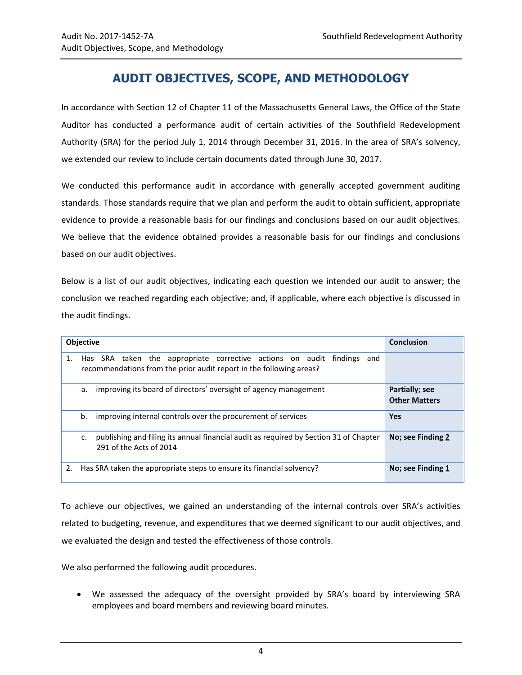# **AUDIT OBJECTIVES, SCOPE, AND METHODOLOGY**

<span id="page-7-0"></span>In accordance with Section 12 of Chapter 11 of the Massachusetts General Laws, the Office of the State Auditor has conducted a performance audit of certain activities of the Southfield Redevelopment Authority (SRA) for the period July 1, 2014 through December 31, 2016. In the area of SRA's solvency, we extended our review to include certain documents dated through June 30, 2017.

We conducted this performance audit in accordance with generally accepted government auditing standards. Those standards require that we plan and perform the audit to obtain sufficient, appropriate evidence to provide a reasonable basis for our findings and conclusions based on our audit objectives. We believe that the evidence obtained provides a reasonable basis for our findings and conclusions based on our audit objectives.

Below is a list of our audit objectives, indicating each question we intended our audit to answer; the conclusion we reached regarding each objective; and, if applicable, where each objective is discussed in the audit findings.

|    | <b>Objective</b>                                                                                                                                 | <b>Conclusion</b>                      |
|----|--------------------------------------------------------------------------------------------------------------------------------------------------|----------------------------------------|
| 1. | Has SRA taken the appropriate corrective actions on audit findings<br>and<br>recommendations from the prior audit report in the following areas? |                                        |
|    | improving its board of directors' oversight of agency management<br>а.                                                                           | Partially; see<br><b>Other Matters</b> |
|    | improving internal controls over the procurement of services<br>b.                                                                               | <b>Yes</b>                             |
|    | publishing and filing its annual financial audit as required by Section 31 of Chapter<br>c.<br>291 of the Acts of 2014                           | No; see Finding 2                      |
| 2. | Has SRA taken the appropriate steps to ensure its financial solvency?                                                                            | No; see Finding 1                      |

To achieve our objectives, we gained an understanding of the internal controls over SRA's activities related to budgeting, revenue, and expenditures that we deemed significant to our audit objectives, and we evaluated the design and tested the effectiveness of those controls.

We also performed the following audit procedures.

 We assessed the adequacy of the oversight provided by SRA's board by interviewing SRA employees and board members and reviewing board minutes.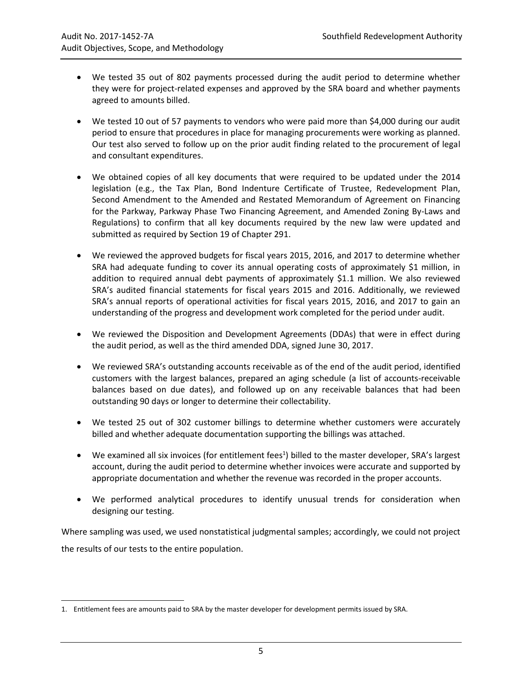- We tested 35 out of 802 payments processed during the audit period to determine whether they were for project-related expenses and approved by the SRA board and whether payments agreed to amounts billed.
- We tested 10 out of 57 payments to vendors who were paid more than \$4,000 during our audit period to ensure that procedures in place for managing procurements were working as planned. Our test also served to follow up on the prior audit finding related to the procurement of legal and consultant expenditures.
- We obtained copies of all key documents that were required to be updated under the 2014 legislation (e.g., the Tax Plan, Bond Indenture Certificate of Trustee, Redevelopment Plan, Second Amendment to the Amended and Restated Memorandum of Agreement on Financing for the Parkway, Parkway Phase Two Financing Agreement, and Amended Zoning By-Laws and Regulations) to confirm that all key documents required by the new law were updated and submitted as required by Section 19 of Chapter 291.
- We reviewed the approved budgets for fiscal years 2015, 2016, and 2017 to determine whether SRA had adequate funding to cover its annual operating costs of approximately \$1 million, in addition to required annual debt payments of approximately \$1.1 million. We also reviewed SRA's audited financial statements for fiscal years 2015 and 2016. Additionally, we reviewed SRA's annual reports of operational activities for fiscal years 2015, 2016, and 2017 to gain an understanding of the progress and development work completed for the period under audit.
- We reviewed the Disposition and Development Agreements (DDAs) that were in effect during the audit period, as well as the third amended DDA, signed June 30, 2017.
- We reviewed SRA's outstanding accounts receivable as of the end of the audit period, identified customers with the largest balances, prepared an aging schedule (a list of accounts-receivable balances based on due dates), and followed up on any receivable balances that had been outstanding 90 days or longer to determine their collectability.
- We tested 25 out of 302 customer billings to determine whether customers were accurately billed and whether adequate documentation supporting the billings was attached.
- We examined all six invoices (for entitlement fees<sup>1</sup>) billed to the master developer, SRA's largest account, during the audit period to determine whether invoices were accurate and supported by appropriate documentation and whether the revenue was recorded in the proper accounts.
- We performed analytical procedures to identify unusual trends for consideration when designing our testing.

Where sampling was used, we used nonstatistical judgmental samples; accordingly, we could not project the results of our tests to the entire population.

 $\overline{a}$ 

<sup>1.</sup> Entitlement fees are amounts paid to SRA by the master developer for development permits issued by SRA.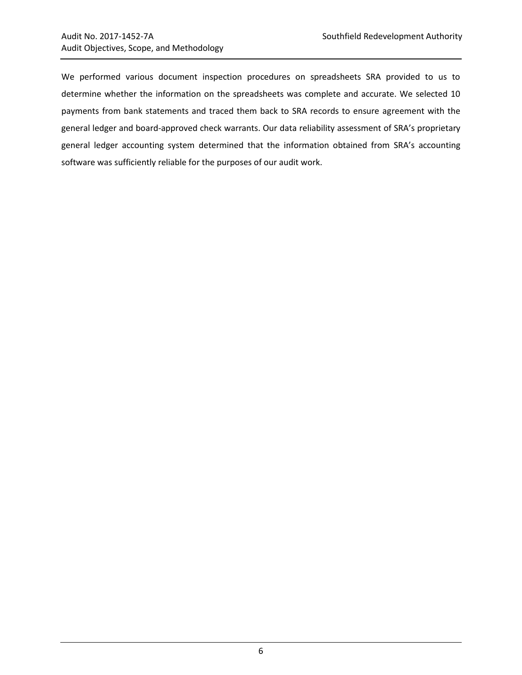We performed various document inspection procedures on spreadsheets SRA provided to us to determine whether the information on the spreadsheets was complete and accurate. We selected 10 payments from bank statements and traced them back to SRA records to ensure agreement with the general ledger and board-approved check warrants. Our data reliability assessment of SRA's proprietary general ledger accounting system determined that the information obtained from SRA's accounting software was sufficiently reliable for the purposes of our audit work.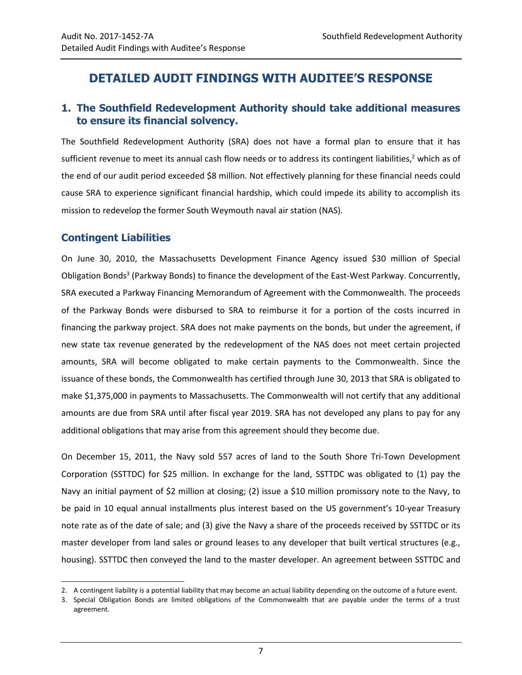### <span id="page-10-0"></span>**DETAILED AUDIT FINDINGS WITH AUDITEE'S RESPONSE**

#### <span id="page-10-1"></span>**1. The Southfield Redevelopment Authority should take additional measures to ensure its financial solvency.**

The Southfield Redevelopment Authority (SRA) does not have a formal plan to ensure that it has sufficient revenue to meet its annual cash flow needs or to address its contingent liabilities,<sup>2</sup> which as of the end of our audit period exceeded \$8 million. Not effectively planning for these financial needs could cause SRA to experience significant financial hardship, which could impede its ability to accomplish its mission to redevelop the former South Weymouth naval air station (NAS).

#### **Contingent Liabilities**

 $\overline{a}$ 

On June 30, 2010, the Massachusetts Development Finance Agency issued \$30 million of Special Obligation Bonds<sup>3</sup> (Parkway Bonds) to finance the development of the East-West Parkway. Concurrently, SRA executed a Parkway Financing Memorandum of Agreement with the Commonwealth. The proceeds of the Parkway Bonds were disbursed to SRA to reimburse it for a portion of the costs incurred in financing the parkway project. SRA does not make payments on the bonds, but under the agreement, if new state tax revenue generated by the redevelopment of the NAS does not meet certain projected amounts, SRA will become obligated to make certain payments to the Commonwealth. Since the issuance of these bonds, the Commonwealth has certified through June 30, 2013 that SRA is obligated to make \$1,375,000 in payments to Massachusetts. The Commonwealth will not certify that any additional amounts are due from SRA until after fiscal year 2019. SRA has not developed any plans to pay for any additional obligations that may arise from this agreement should they become due.

On December 15, 2011, the Navy sold 557 acres of land to the South Shore Tri-Town Development Corporation (SSTTDC) for \$25 million. In exchange for the land, SSTTDC was obligated to (1) pay the Navy an initial payment of \$2 million at closing; (2) issue a \$10 million promissory note to the Navy, to be paid in 10 equal annual installments plus interest based on the US government's 10-year Treasury note rate as of the date of sale; and (3) give the Navy a share of the proceeds received by SSTTDC or its master developer from land sales or ground leases to any developer that built vertical structures (e.g., housing). SSTTDC then conveyed the land to the master developer. An agreement between SSTTDC and

<sup>2.</sup> A contingent liability is a potential liability that may become an actual liability depending on the outcome of a future event.

<sup>3.</sup> Special Obligation Bonds are limited obligations of the Commonwealth that are payable under the terms of a trust agreement.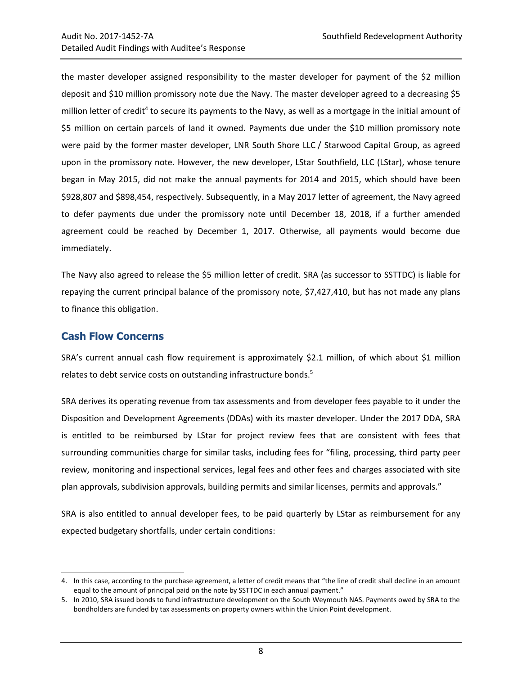the master developer assigned responsibility to the master developer for payment of the \$2 million deposit and \$10 million promissory note due the Navy. The master developer agreed to a decreasing \$5 million letter of credit<sup>4</sup> to secure its payments to the Navy, as well as a mortgage in the initial amount of \$5 million on certain parcels of land it owned. Payments due under the \$10 million promissory note were paid by the former master developer, LNR South Shore LLC / Starwood Capital Group, as agreed upon in the promissory note. However, the new developer, LStar Southfield, LLC (LStar), whose tenure began in May 2015, did not make the annual payments for 2014 and 2015, which should have been \$928,807 and \$898,454, respectively. Subsequently, in a May 2017 letter of agreement, the Navy agreed to defer payments due under the promissory note until December 18, 2018, if a further amended agreement could be reached by December 1, 2017. Otherwise, all payments would become due immediately.

The Navy also agreed to release the \$5 million letter of credit. SRA (as successor to SSTTDC) is liable for repaying the current principal balance of the promissory note, \$7,427,410, but has not made any plans to finance this obligation.

#### **Cash Flow Concerns**

l

SRA's current annual cash flow requirement is approximately \$2.1 million, of which about \$1 million relates to debt service costs on outstanding infrastructure bonds.<sup>5</sup>

SRA derives its operating revenue from tax assessments and from developer fees payable to it under the Disposition and Development Agreements (DDAs) with its master developer. Under the 2017 DDA, SRA is entitled to be reimbursed by LStar for project review fees that are consistent with fees that surrounding communities charge for similar tasks, including fees for "filing, processing, third party peer review, monitoring and inspectional services, legal fees and other fees and charges associated with site plan approvals, subdivision approvals, building permits and similar licenses, permits and approvals."

SRA is also entitled to annual developer fees, to be paid quarterly by LStar as reimbursement for any expected budgetary shortfalls, under certain conditions:

<sup>4.</sup> In this case, according to the purchase agreement, a letter of credit means that "the line of credit shall decline in an amount equal to the amount of principal paid on the note by SSTTDC in each annual payment."

<sup>5.</sup> In 2010, SRA issued bonds to fund infrastructure development on the South Weymouth NAS. Payments owed by SRA to the bondholders are funded by tax assessments on property owners within the Union Point development.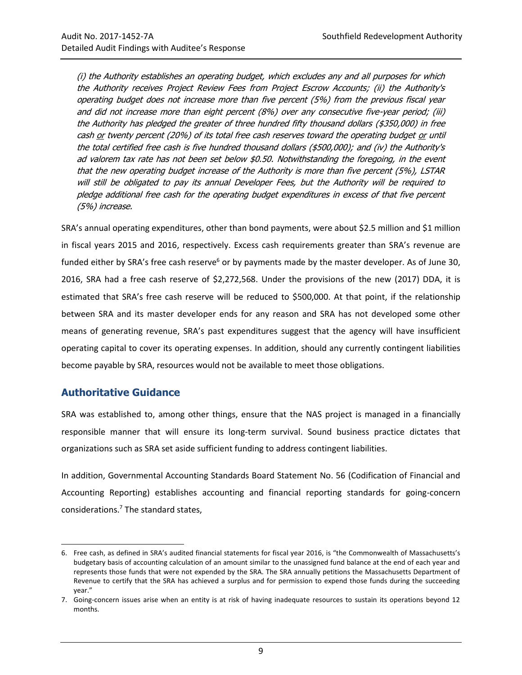(i) the Authority establishes an operating budget, which excludes any and all purposes for which the Authority receives Project Review Fees from Project Escrow Accounts; (ii) the Authority's operating budget does not increase more than five percent (5%) from the previous fiscal year and did not increase more than eight percent (8%) over any consecutive five-year period; (iii) the Authority has pledged the greater of three hundred fifty thousand dollars (\$350,000) in free cash or twenty percent (20%) of its total free cash reserves toward the operating budget or until the total certified free cash is five hundred thousand dollars (\$500,000); and (iv) the Authority's ad valorem tax rate has not been set below \$0.50. Notwithstanding the foregoing, in the event that the new operating budget increase of the Authority is more than five percent (5%), LSTAR will still be obligated to pay its annual Developer Fees, but the Authority will be required to pledge additional free cash for the operating budget expenditures in excess of that five percent (5%) increase.

SRA's annual operating expenditures, other than bond payments, were about \$2.5 million and \$1 million in fiscal years 2015 and 2016, respectively. Excess cash requirements greater than SRA's revenue are funded either by SRA's free cash reserve<sup>6</sup> or by payments made by the master developer. As of June 30, 2016, SRA had a free cash reserve of \$2,272,568. Under the provisions of the new (2017) DDA, it is estimated that SRA's free cash reserve will be reduced to \$500,000. At that point, if the relationship between SRA and its master developer ends for any reason and SRA has not developed some other means of generating revenue, SRA's past expenditures suggest that the agency will have insufficient operating capital to cover its operating expenses. In addition, should any currently contingent liabilities become payable by SRA, resources would not be available to meet those obligations.

#### **Authoritative Guidance**

l

SRA was established to, among other things, ensure that the NAS project is managed in a financially responsible manner that will ensure its long-term survival. Sound business practice dictates that organizations such as SRA set aside sufficient funding to address contingent liabilities.

In addition, Governmental Accounting Standards Board Statement No. 56 (Codification of Financial and Accounting Reporting) establishes accounting and financial reporting standards for going-concern considerations.<sup>7</sup> The standard states,

<sup>6.</sup> Free cash, as defined in SRA's audited financial statements for fiscal year 2016, is "the Commonwealth of Massachusetts's budgetary basis of accounting calculation of an amount similar to the unassigned fund balance at the end of each year and represents those funds that were not expended by the SRA. The SRA annually petitions the Massachusetts Department of Revenue to certify that the SRA has achieved a surplus and for permission to expend those funds during the succeeding year."

<sup>7.</sup> Going-concern issues arise when an entity is at risk of having inadequate resources to sustain its operations beyond 12 months.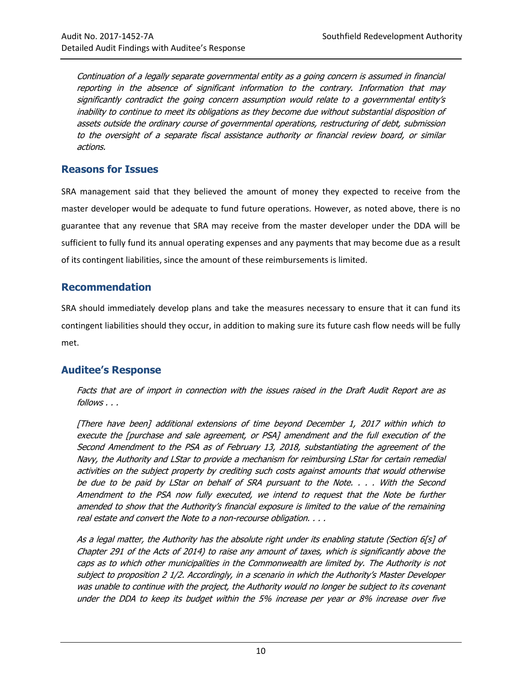Continuation of a legally separate governmental entity as a going concern is assumed in financial reporting in the absence of significant information to the contrary. Information that may significantly contradict the going concern assumption would relate to a governmental entity's inability to continue to meet its obligations as they become due without substantial disposition of assets outside the ordinary course of governmental operations, restructuring of debt, submission to the oversight of a separate fiscal assistance authority or financial review board, or similar actions.

#### **Reasons for Issues**

SRA management said that they believed the amount of money they expected to receive from the master developer would be adequate to fund future operations. However, as noted above, there is no guarantee that any revenue that SRA may receive from the master developer under the DDA will be sufficient to fully fund its annual operating expenses and any payments that may become due as a result of its contingent liabilities, since the amount of these reimbursements is limited.

#### <span id="page-13-0"></span>**Recommendation**

SRA should immediately develop plans and take the measures necessary to ensure that it can fund its contingent liabilities should they occur, in addition to making sure its future cash flow needs will be fully met.

#### **Auditee's Response**

Facts that are of import in connection with the issues raised in the Draft Audit Report are as follows . . .

[There have been] additional extensions of time beyond December 1, 2017 within which to execute the [purchase and sale agreement, or PSA] amendment and the full execution of the Second Amendment to the PSA as of February 13, 2018, substantiating the agreement of the Navy, the Authority and LStar to provide a mechanism for reimbursing LStar for certain remedial activities on the subject property by crediting such costs against amounts that would otherwise be due to be paid by LStar on behalf of SRA pursuant to the Note. . . . With the Second Amendment to the PSA now fully executed, we intend to request that the Note be further amended to show that the Authority's financial exposure is limited to the value of the remaining real estate and convert the Note to a non-recourse obligation. . . .

As a legal matter, the Authority has the absolute right under its enabling statute (Section 6[s] of Chapter 291 of the Acts of 2014) to raise any amount of taxes, which is significantly above the caps as to which other municipalities in the Commonwealth are limited by. The Authority is not subject to proposition 2 1/2. Accordingly, in a scenario in which the Authority's Master Developer was unable to continue with the project, the Authority would no longer be subject to its covenant under the DDA to keep its budget within the 5% increase per year or 8% increase over five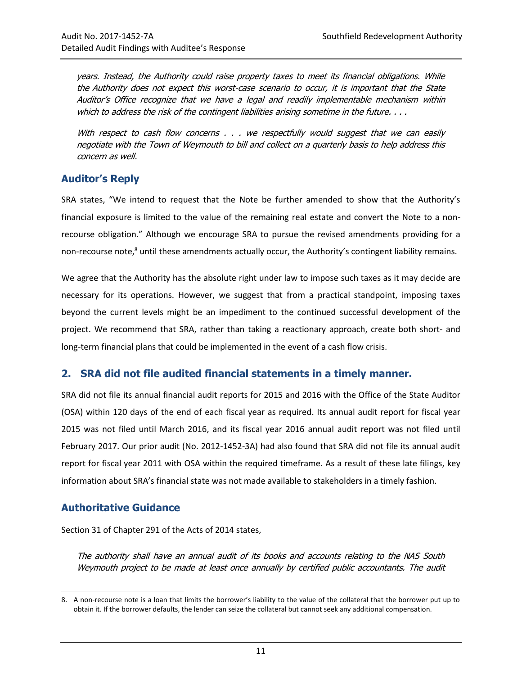years. Instead, the Authority could raise property taxes to meet its financial obligations. While the Authority does not expect this worst-case scenario to occur, it is important that the State Auditor's Office recognize that we have a legal and readily implementable mechanism within which to address the risk of the contingent liabilities arising sometime in the future.  $\dots$ 

With respect to cash flow concerns . . . we respectfully would suggest that we can easily negotiate with the Town of Weymouth to bill and collect on a quarterly basis to help address this concern as well.

#### **Auditor's Reply**

SRA states, "We intend to request that the Note be further amended to show that the Authority's financial exposure is limited to the value of the remaining real estate and convert the Note to a nonrecourse obligation." Although we encourage SRA to pursue the revised amendments providing for a non-recourse note,<sup>8</sup> until these amendments actually occur, the Authority's contingent liability remains.

We agree that the Authority has the absolute right under law to impose such taxes as it may decide are necessary for its operations. However, we suggest that from a practical standpoint, imposing taxes beyond the current levels might be an impediment to the continued successful development of the project. We recommend that SRA, rather than taking a reactionary approach, create both short- and long-term financial plans that could be implemented in the event of a cash flow crisis.

#### <span id="page-14-0"></span>**2. SRA did not file audited financial statements in a timely manner.**

SRA did not file its annual financial audit reports for 2015 and 2016 with the Office of the State Auditor (OSA) within 120 days of the end of each fiscal year as required. Its annual audit report for fiscal year 2015 was not filed until March 2016, and its fiscal year 2016 annual audit report was not filed until February 2017. Our prior audit (No. 2012-1452-3A) had also found that SRA did not file its annual audit report for fiscal year 2011 with OSA within the required timeframe. As a result of these late filings, key information about SRA's financial state was not made available to stakeholders in a timely fashion.

#### **Authoritative Guidance**

 $\overline{a}$ 

Section 31 of Chapter 291 of the Acts of 2014 states,

The authority shall have an annual audit of its books and accounts relating to the NAS South Weymouth project to be made at least once annually by certified public accountants. The audit

<sup>8.</sup> A non-recourse note is a loan that limits the borrower's liability to the value of the collateral that the borrower put up to obtain it. If the borrower defaults, the lender can seize the collateral but cannot seek any additional compensation.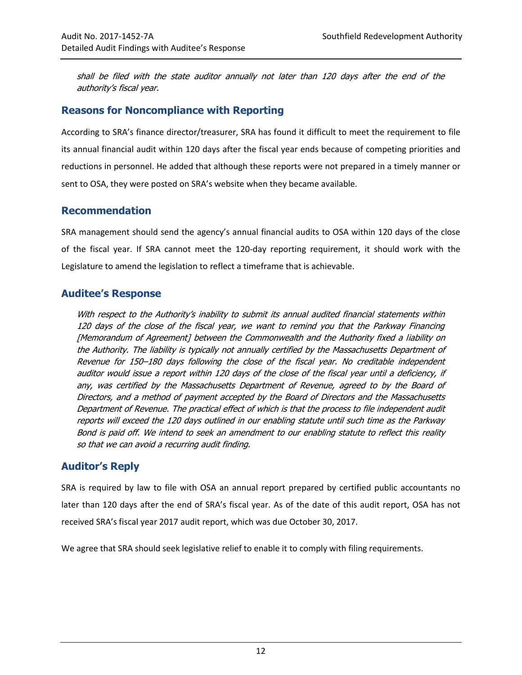shall be filed with the state auditor annually not later than 120 days after the end of the authority's fiscal year.

#### **Reasons for Noncompliance with Reporting**

According to SRA's finance director/treasurer, SRA has found it difficult to meet the requirement to file its annual financial audit within 120 days after the fiscal year ends because of competing priorities and reductions in personnel. He added that although these reports were not prepared in a timely manner or sent to OSA, they were posted on SRA's website when they became available.

#### <span id="page-15-0"></span>**Recommendation**

SRA management should send the agency's annual financial audits to OSA within 120 days of the close of the fiscal year. If SRA cannot meet the 120-day reporting requirement, it should work with the Legislature to amend the legislation to reflect a timeframe that is achievable.

#### **Auditee's Response**

With respect to the Authority's inability to submit its annual audited financial statements within 120 days of the close of the fiscal year, we want to remind you that the Parkway Financing [Memorandum of Agreement] between the Commonwealth and the Authority fixed a liability on the Authority. The liability is typically not annually certified by the Massachusetts Department of Revenue for 150–180 days following the close of the fiscal year. No creditable independent auditor would issue a report within 120 days of the close of the fiscal year until a deficiency, if any, was certified by the Massachusetts Department of Revenue, agreed to by the Board of Directors, and a method of payment accepted by the Board of Directors and the Massachusetts Department of Revenue. The practical effect of which is that the process to file independent audit reports will exceed the 120 days outlined in our enabling statute until such time as the Parkway Bond is paid off. We intend to seek an amendment to our enabling statute to reflect this reality so that we can avoid a recurring audit finding.

#### **Auditor's Reply**

SRA is required by law to file with OSA an annual report prepared by certified public accountants no later than 120 days after the end of SRA's fiscal year. As of the date of this audit report, OSA has not received SRA's fiscal year 2017 audit report, which was due October 30, 2017.

We agree that SRA should seek legislative relief to enable it to comply with filing requirements.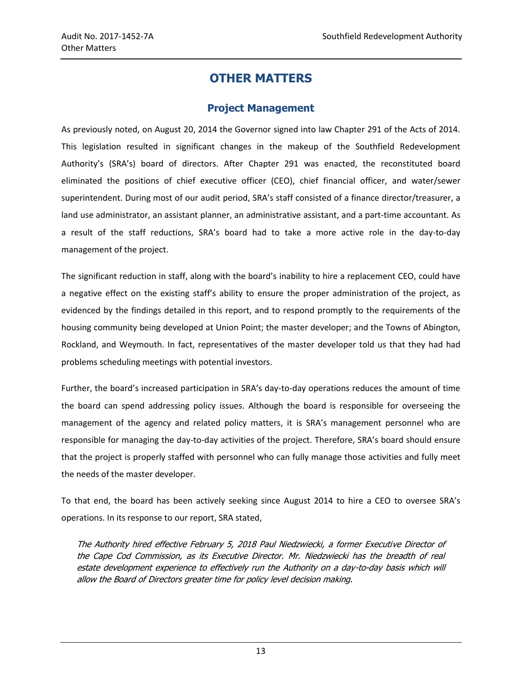# **OTHER MATTERS**

#### **Project Management**

<span id="page-16-0"></span>As previously noted, on August 20, 2014 the Governor signed into law Chapter 291 of the Acts of 2014. This legislation resulted in significant changes in the makeup of the Southfield Redevelopment Authority's (SRA's) board of directors. After Chapter 291 was enacted, the reconstituted board eliminated the positions of chief executive officer (CEO), chief financial officer, and water/sewer superintendent. During most of our audit period, SRA's staff consisted of a finance director/treasurer, a land use administrator, an assistant planner, an administrative assistant, and a part-time accountant. As a result of the staff reductions, SRA's board had to take a more active role in the day-to-day management of the project.

The significant reduction in staff, along with the board's inability to hire a replacement CEO, could have a negative effect on the existing staff's ability to ensure the proper administration of the project, as evidenced by the findings detailed in this report, and to respond promptly to the requirements of the housing community being developed at Union Point; the master developer; and the Towns of Abington, Rockland, and Weymouth. In fact, representatives of the master developer told us that they had had problems scheduling meetings with potential investors.

Further, the board's increased participation in SRA's day-to-day operations reduces the amount of time the board can spend addressing policy issues. Although the board is responsible for overseeing the management of the agency and related policy matters, it is SRA's management personnel who are responsible for managing the day-to-day activities of the project. Therefore, SRA's board should ensure that the project is properly staffed with personnel who can fully manage those activities and fully meet the needs of the master developer.

To that end, the board has been actively seeking since August 2014 to hire a CEO to oversee SRA's operations. In its response to our report, SRA stated,

The Authority hired effective February 5, 2018 Paul Niedzwiecki, a former Executive Director of the Cape Cod Commission, as its Executive Director. Mr. Niedzwiecki has the breadth of real estate development experience to effectively run the Authority on a day-to-day basis which will allow the Board of Directors greater time for policy level decision making.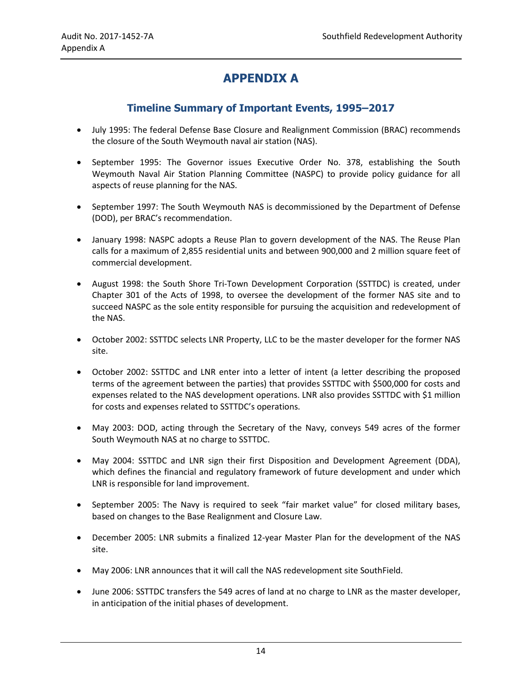# **APPENDIX A**

#### **Timeline Summary of Important Events, 1995–2017**

- <span id="page-17-0"></span> July 1995: The federal Defense Base Closure and Realignment Commission (BRAC) recommends the closure of the South Weymouth naval air station (NAS).
- September 1995: The Governor issues Executive Order No. 378, establishing the South Weymouth Naval Air Station Planning Committee (NASPC) to provide policy guidance for all aspects of reuse planning for the NAS.
- September 1997: The South Weymouth NAS is decommissioned by the Department of Defense (DOD), per BRAC's recommendation.
- January 1998: NASPC adopts a Reuse Plan to govern development of the NAS. The Reuse Plan calls for a maximum of 2,855 residential units and between 900,000 and 2 million square feet of commercial development.
- August 1998: the South Shore Tri-Town Development Corporation (SSTTDC) is created, under Chapter 301 of the Acts of 1998, to oversee the development of the former NAS site and to succeed NASPC as the sole entity responsible for pursuing the acquisition and redevelopment of the NAS.
- October 2002: SSTTDC selects LNR Property, LLC to be the master developer for the former NAS site.
- October 2002: SSTTDC and LNR enter into a letter of intent (a letter describing the proposed terms of the agreement between the parties) that provides SSTTDC with \$500,000 for costs and expenses related to the NAS development operations. LNR also provides SSTTDC with \$1 million for costs and expenses related to SSTTDC's operations.
- May 2003: DOD, acting through the Secretary of the Navy, conveys 549 acres of the former South Weymouth NAS at no charge to SSTTDC.
- May 2004: SSTTDC and LNR sign their first Disposition and Development Agreement (DDA), which defines the financial and regulatory framework of future development and under which LNR is responsible for land improvement.
- September 2005: The Navy is required to seek "fair market value" for closed military bases, based on changes to the Base Realignment and Closure Law.
- December 2005: LNR submits a finalized 12-year Master Plan for the development of the NAS site.
- May 2006: LNR announces that it will call the NAS redevelopment site SouthField.
- June 2006: SSTTDC transfers the 549 acres of land at no charge to LNR as the master developer, in anticipation of the initial phases of development.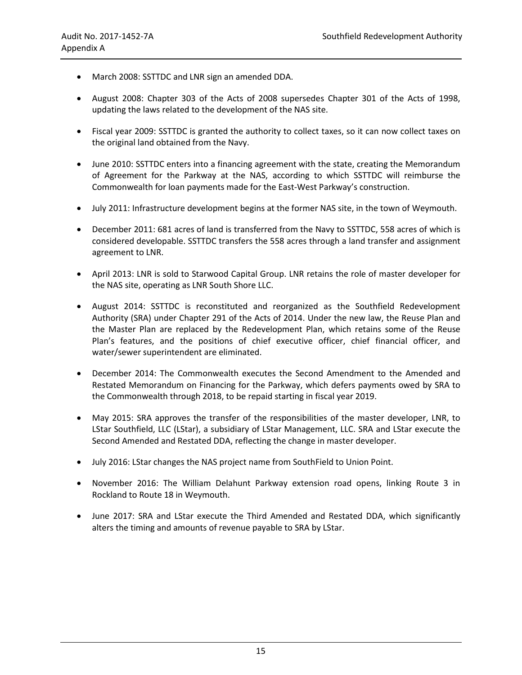- March 2008: SSTTDC and LNR sign an amended DDA.
- August 2008: Chapter 303 of the Acts of 2008 supersedes Chapter 301 of the Acts of 1998, updating the laws related to the development of the NAS site.
- Fiscal year 2009: SSTTDC is granted the authority to collect taxes, so it can now collect taxes on the original land obtained from the Navy.
- June 2010: SSTTDC enters into a financing agreement with the state, creating the Memorandum of Agreement for the Parkway at the NAS, according to which SSTTDC will reimburse the Commonwealth for loan payments made for the East-West Parkway's construction.
- July 2011: Infrastructure development begins at the former NAS site, in the town of Weymouth.
- December 2011: 681 acres of land is transferred from the Navy to SSTTDC, 558 acres of which is considered developable. SSTTDC transfers the 558 acres through a land transfer and assignment agreement to LNR.
- April 2013: LNR is sold to Starwood Capital Group. LNR retains the role of master developer for the NAS site, operating as LNR South Shore LLC.
- August 2014: SSTTDC is reconstituted and reorganized as the Southfield Redevelopment Authority (SRA) under Chapter 291 of the Acts of 2014. Under the new law, the Reuse Plan and the Master Plan are replaced by the Redevelopment Plan, which retains some of the Reuse Plan's features, and the positions of chief executive officer, chief financial officer, and water/sewer superintendent are eliminated.
- December 2014: The Commonwealth executes the Second Amendment to the Amended and Restated Memorandum on Financing for the Parkway, which defers payments owed by SRA to the Commonwealth through 2018, to be repaid starting in fiscal year 2019.
- May 2015: SRA approves the transfer of the responsibilities of the master developer, LNR, to LStar Southfield, LLC (LStar), a subsidiary of LStar Management, LLC. SRA and LStar execute the Second Amended and Restated DDA, reflecting the change in master developer.
- July 2016: LStar changes the NAS project name from SouthField to Union Point.
- November 2016: The William Delahunt Parkway extension road opens, linking Route 3 in Rockland to Route 18 in Weymouth.
- June 2017: SRA and LStar execute the Third Amended and Restated DDA, which significantly alters the timing and amounts of revenue payable to SRA by LStar.